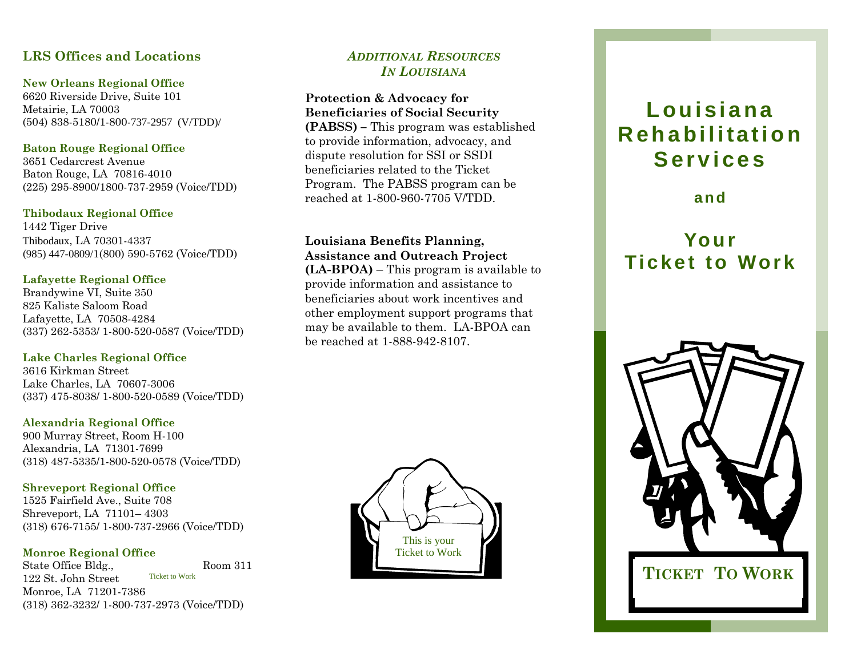# **LRS Offices and Locations**

#### **New Orleans Regional Office**

6620 Riverside Drive, Suite 101 Metairie, LA 70003 (504) 838-5180/1-800-737-2957 (V/TDD)/

## **Baton Rouge Regional Office**

3651 Cedarcrest Avenue Baton Rouge, LA 70816-4010 (225) 295-8900/1800-737-2959 (Voice/TDD)

### **Thibodaux Regional Office**

1442 Tiger Drive Thibodaux, LA 70301-4337 (985) 447-0809/1(800) 590-5762 (Voice/TDD)

## **Lafayette Regional Office**

Brandywine VI, Suite 350 825 Kaliste Saloom Road Lafayette, LA 70508-4284 (337) 262-5353/ 1-800-520-0587 (Voice/TDD)

## **Lake Charles Regional Office**

3616 Kirkman Street Lake Charles, LA 70607-3006 (337) 475-8038/ 1-800-520-0589 (Voice/TDD)

### **Alexandria Regional Office**

900 Murray Street, Room H-100 Alexandria, LA 71301-7699 (318) 487-5335/1-800-520-0578 (Voice/TDD)

## **Shreveport Regional Office**

1525 Fairfield Ave., Suite 708 Shreveport, LA 71101– 4303 (318) 676-7155/ 1-800-737-2966 (Voice/TDD)

## **Monroe Regional Office**

State Office Bldg., Room 311 122 St. John Street Monroe, LA 71201-7386 (318) 362-3232/ 1-800-737-2973 (Voice/TDD) Ticket to Work

# *ADDITIONAL RESOURCESIN LOUISIANA*

### **Protection & Advocacy for Beneficiaries of Social Security**

**(PABSS) –** This program was established to provide information, advocacy, and dispute resolution for SSI or SSDI beneficiaries related to the Ticket Program. The PABSS program can be reached at 1-800-960-7705 V/TDD.

# **Louisiana Benefits Planning, Assistance and Outreach Project**

**(LA-BPOA)** – This program is available to provide information and assistance to beneficiaries about work incentives and other employment support programs that may be available to them. LA-BPOA can be reached at 1-888-942-8107.



# **Louisiana Rehabilitation Services**

**and** 

# **Your Ticket to Work**